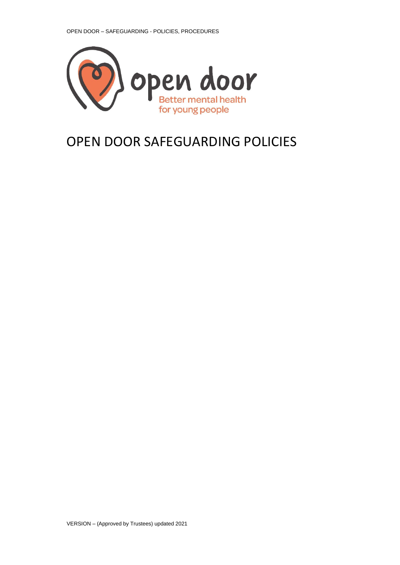<span id="page-0-0"></span>

# OPEN DOOR SAFEGUARDING POLICIES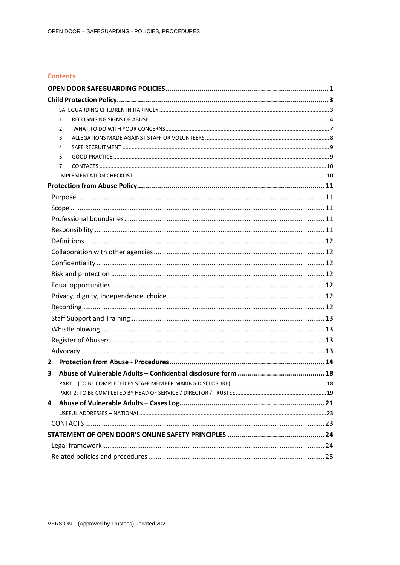### **Contents**

|   | 1 |  |
|---|---|--|
|   | 2 |  |
|   | 3 |  |
|   | 4 |  |
|   | 5 |  |
|   | 7 |  |
|   |   |  |
|   |   |  |
|   |   |  |
|   |   |  |
|   |   |  |
|   |   |  |
|   |   |  |
|   |   |  |
|   |   |  |
|   |   |  |
|   |   |  |
|   |   |  |
|   |   |  |
|   |   |  |
|   |   |  |
|   |   |  |
|   |   |  |
| 2 |   |  |
| 3 |   |  |
|   |   |  |
|   |   |  |
| 4 |   |  |
|   |   |  |
|   |   |  |
|   |   |  |
|   |   |  |
|   |   |  |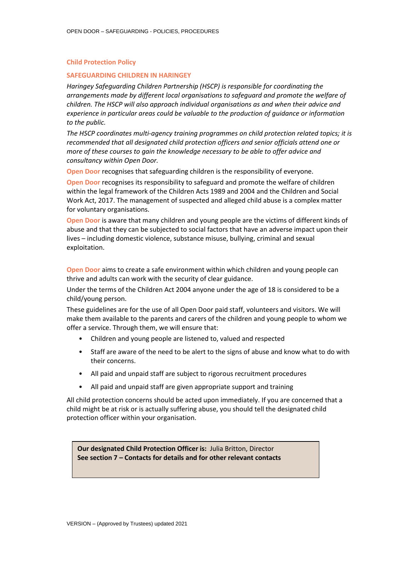#### <span id="page-2-0"></span>**Child Protection Policy**

#### <span id="page-2-1"></span>**SAFEGUARDING CHILDREN IN HARINGEY**

*Haringey Safeguarding Children Partnership (HSCP) is responsible for coordinating the arrangements made by different local organisations to safeguard and promote the welfare of children. The HSCP will also approach individual organisations as and when their advice and experience in particular areas could be valuable to the production of guidance or information to the public.*

*The HSCP coordinates multi-agency training programmes on child protection related topics; it is recommended that all designated child protection officers and senior officials attend one or more of these courses to gain the knowledge necessary to be able to offer advice and consultancy within Open Door.*

**Open Door** recognises that safeguarding children is the responsibility of everyone.

**Open Door** recognises its responsibility to safeguard and promote the welfare of children within the legal framework of the Children Acts 1989 and 2004 and the Children and Social Work Act, 2017. The management of suspected and alleged child abuse is a complex matter for voluntary organisations.

**Open Door** is aware that many children and young people are the victims of different kinds of abuse and that they can be subjected to social factors that have an adverse impact upon their lives – including domestic violence, substance misuse, bullying, criminal and sexual exploitation.

**Open Door** aims to create a safe environment within which children and young people can thrive and adults can work with the security of clear guidance.

Under the terms of the Children Act 2004 anyone under the age of 18 is considered to be a child/young person.

These guidelines are for the use of all Open Door paid staff, volunteers and visitors. We will make them available to the parents and carers of the children and young people to whom we offer a service. Through them, we will ensure that:

- Children and young people are listened to, valued and respected
- Staff are aware of the need to be alert to the signs of abuse and know what to do with their concerns.
- All paid and unpaid staff are subject to rigorous recruitment procedures
- All paid and unpaid staff are given appropriate support and training

All child protection concerns should be acted upon immediately. If you are concerned that a child might be at risk or is actually suffering abuse, you should tell the designated child protection officer within your organisation.

**Our designated Child Protection Officer is:** Julia Britton, Director **See section 7 – Contacts for details and for other relevant contacts**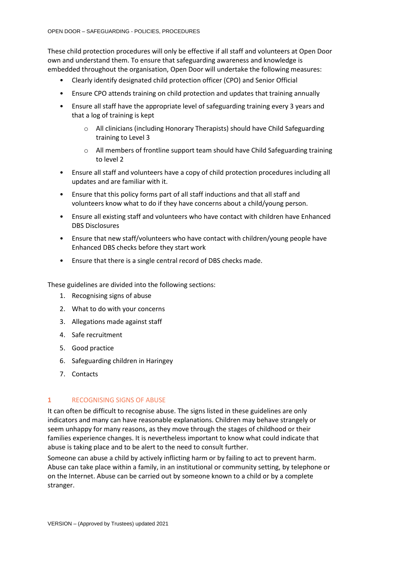These child protection procedures will only be effective if all staff and volunteers at Open Door own and understand them. To ensure that safeguarding awareness and knowledge is embedded throughout the organisation, Open Door will undertake the following measures:

- Clearly identify designated child protection officer (CPO) and Senior Official
- Ensure CPO attends training on child protection and updates that training annually
- Ensure all staff have the appropriate level of safeguarding training every 3 years and that a log of training is kept
	- o All clinicians (including Honorary Therapists) should have Child Safeguarding training to Level 3
	- o All members of frontline support team should have Child Safeguarding training to level 2
- Ensure all staff and volunteers have a copy of child protection procedures including all updates and are familiar with it.
- Ensure that this policy forms part of all staff inductions and that all staff and volunteers know what to do if they have concerns about a child/young person.
- Ensure all existing staff and volunteers who have contact with children have Enhanced DBS Disclosures
- Ensure that new staff/volunteers who have contact with children/young people have Enhanced DBS checks before they start work
- Ensure that there is a single central record of DBS checks made.

These guidelines are divided into the following sections:

- 1. Recognising signs of abuse
- 2. What to do with your concerns
- 3. Allegations made against staff
- 4. Safe recruitment
- 5. Good practice
- 6. Safeguarding children in Haringey
- 7. Contacts

# <span id="page-3-0"></span>**1** RECOGNISING SIGNS OF ABUSE

It can often be difficult to recognise abuse. The signs listed in these guidelines are only indicators and many can have reasonable explanations. Children may behave strangely or seem unhappy for many reasons, as they move through the stages of childhood or their families experience changes. It is nevertheless important to know what could indicate that abuse is taking place and to be alert to the need to consult further.

Someone can abuse a child by actively inflicting harm or by failing to act to prevent harm. Abuse can take place within a family, in an institutional or community setting, by telephone or on the Internet. Abuse can be carried out by someone known to a child or by a complete stranger.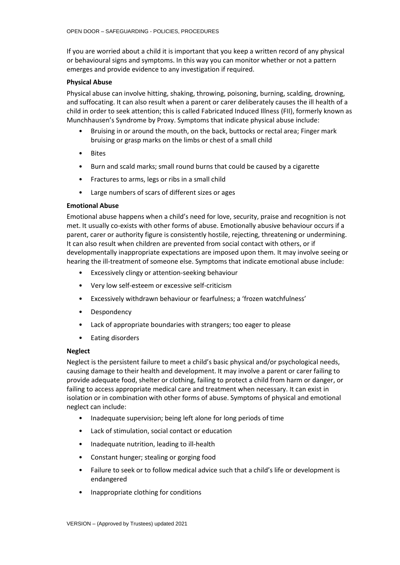If you are worried about a child it is important that you keep a written record of any physical or behavioural signs and symptoms. In this way you can monitor whether or not a pattern emerges and provide evidence to any investigation if required.

#### **Physical Abuse**

Physical abuse can involve hitting, shaking, throwing, poisoning, burning, scalding, drowning, and suffocating. It can also result when a parent or carer deliberately causes the ill health of a child in order to seek attention; this is called Fabricated Induced Illness (FII), formerly known as Munchhausen's Syndrome by Proxy. Symptoms that indicate physical abuse include:

- Bruising in or around the mouth, on the back, buttocks or rectal area; Finger mark bruising or grasp marks on the limbs or chest of a small child
- Bites
- Burn and scald marks; small round burns that could be caused by a cigarette
- Fractures to arms, legs or ribs in a small child
- Large numbers of scars of different sizes or ages

# **Emotional Abuse**

Emotional abuse happens when a child's need for love, security, praise and recognition is not met. It usually co-exists with other forms of abuse. Emotionally abusive behaviour occurs if a parent, carer or authority figure is consistently hostile, rejecting, threatening or undermining. It can also result when children are prevented from social contact with others, or if developmentally inappropriate expectations are imposed upon them. It may involve seeing or hearing the ill-treatment of someone else. Symptoms that indicate emotional abuse include:

- Excessively clingy or attention-seeking behaviour
- Very low self-esteem or excessive self-criticism
- Excessively withdrawn behaviour or fearfulness; a 'frozen watchfulness'
- Despondency
- Lack of appropriate boundaries with strangers; too eager to please
- Eating disorders

#### **Neglect**

Neglect is the persistent failure to meet a child's basic physical and/or psychological needs, causing damage to their health and development. It may involve a parent or carer failing to provide adequate food, shelter or clothing, failing to protect a child from harm or danger, or failing to access appropriate medical care and treatment when necessary. It can exist in isolation or in combination with other forms of abuse. Symptoms of physical and emotional neglect can include:

- Inadequate supervision; being left alone for long periods of time
- Lack of stimulation, social contact or education
- Inadequate nutrition, leading to ill-health
- Constant hunger; stealing or gorging food
- Failure to seek or to follow medical advice such that a child's life or development is endangered
- Inappropriate clothing for conditions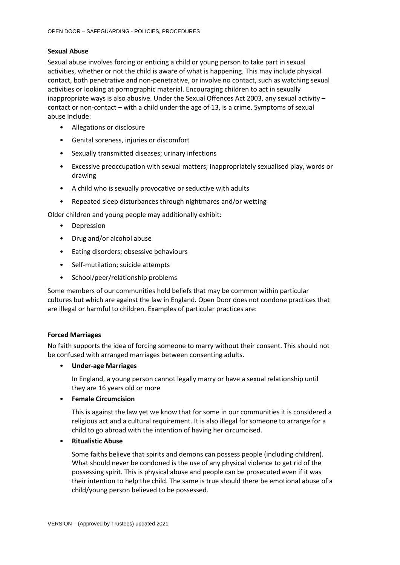### **Sexual Abuse**

Sexual abuse involves forcing or enticing a child or young person to take part in sexual activities, whether or not the child is aware of what is happening. This may include physical contact, both penetrative and non-penetrative, or involve no contact, such as watching sexual activities or looking at pornographic material. Encouraging children to act in sexually inappropriate ways is also abusive. Under the Sexual Offences Act 2003, any sexual activity – contact or non-contact – with a child under the age of 13, is a crime. Symptoms of sexual abuse include:

- Allegations or disclosure
- Genital soreness, injuries or discomfort
- Sexually transmitted diseases; urinary infections
- Excessive preoccupation with sexual matters; inappropriately sexualised play, words or drawing
- A child who is sexually provocative or seductive with adults
- Repeated sleep disturbances through nightmares and/or wetting

Older children and young people may additionally exhibit:

- Depression
- Drug and/or alcohol abuse
- Eating disorders; obsessive behaviours
- Self-mutilation; suicide attempts
- School/peer/relationship problems

Some members of our communities hold beliefs that may be common within particular cultures but which are against the law in England. Open Door does not condone practices that are illegal or harmful to children. Examples of particular practices are:

#### **Forced Marriages**

No faith supports the idea of forcing someone to marry without their consent. This should not be confused with arranged marriages between consenting adults.

• **Under-age Marriages**

In England, a young person cannot legally marry or have a sexual relationship until they are 16 years old or more

• **Female Circumcision**

This is against the law yet we know that for some in our communities it is considered a religious act and a cultural requirement. It is also illegal for someone to arrange for a child to go abroad with the intention of having her circumcised.

#### • **Ritualistic Abuse**

Some faiths believe that spirits and demons can possess people (including children). What should never be condoned is the use of any physical violence to get rid of the possessing spirit. This is physical abuse and people can be prosecuted even if it was their intention to help the child. The same is true should there be emotional abuse of a child/young person believed to be possessed.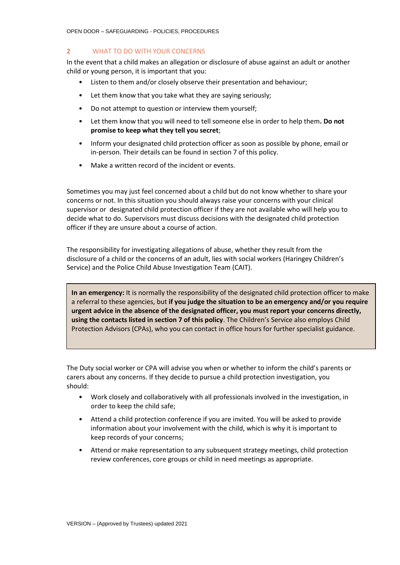OPEN DOOR – SAFEGUARDING - POLICIES, PROCEDURES

# <span id="page-6-0"></span>**2** WHAT TO DO WITH YOUR CONCERNS

In the event that a child makes an allegation or disclosure of abuse against an adult or another child or young person, it is important that you:

- Listen to them and/or closely observe their presentation and behaviour;
- Let them know that you take what they are saying seriously;
- Do not attempt to question or interview them yourself;
- Let them know that you will need to tell someone else in order to help them**. Do not promise to keep what they tell you secret**;
- Inform your designated child protection officer as soon as possible by phone, email or in-person. Their details can be found in section 7 of this policy.
- Make a written record of the incident or events.

Sometimes you may just feel concerned about a child but do not know whether to share your concerns or not. In this situation you should always raise your concerns with your clinical supervisor or designated child protection officer if they are not available who will help you to decide what to do. Supervisors must discuss decisions with the designated child protection officer if they are unsure about a course of action.

The responsibility for investigating allegations of abuse, whether they result from the disclosure of a child or the concerns of an adult, lies with social workers (Haringey Children's Service) and the Police Child Abuse Investigation Team (CAIT).

**In an emergency:** It is normally the responsibility of the designated child protection officer to make a referral to these agencies, but **if you judge the situation to be an emergency and/or you require urgent advice in the absence of the designated officer, you must report your concerns directly, using the contacts listed in section 7 of this policy**. The Children's Service also employs Child Protection Advisors (CPAs), who you can contact in office hours for further specialist guidance.

The Duty social worker or CPA will advise you when or whether to inform the child's parents or carers about any concerns. If they decide to pursue a child protection investigation, you should:

- Work closely and collaboratively with all professionals involved in the investigation, in order to keep the child safe;
- Attend a child protection conference if you are invited. You will be asked to provide information about your involvement with the child, which is why it is important to keep records of your concerns;
- Attend or make representation to any subsequent strategy meetings, child protection review conferences, core groups or child in need meetings as appropriate.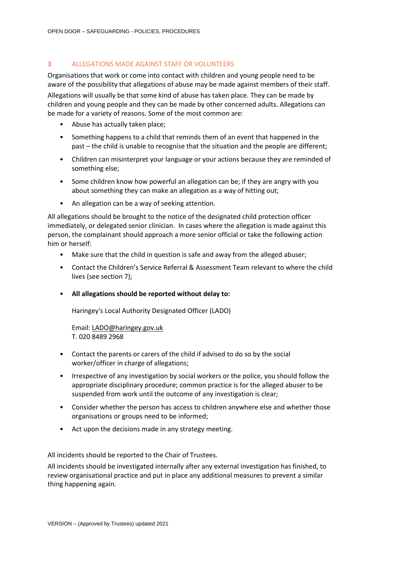# <span id="page-7-0"></span>**3** ALLEGATIONS MADE AGAINST STAFF OR VOLUNTEERS

Organisations that work or come into contact with children and young people need to be aware of the possibility that allegations of abuse may be made against members of their staff. Allegations will usually be that some kind of abuse has taken place. They can be made by children and young people and they can be made by other concerned adults. Allegations can be made for a variety of reasons. Some of the most common are:

- Abuse has actually taken place;
- Something happens to a child that reminds them of an event that happened in the past – the child is unable to recognise that the situation and the people are different;
- Children can misinterpret your language or your actions because they are reminded of something else;
- Some children know how powerful an allegation can be; if they are angry with you about something they can make an allegation as a way of hitting out;
- An allegation can be a way of seeking attention.

All allegations should be brought to the notice of the designated child protection officer immediately, or delegated senior clinician. In cases where the allegation is made against this person, the complainant should approach a more senior official or take the following action him or herself:

- Make sure that the child in question is safe and away from the alleged abuser;
- Contact the Children's Service Referral & Assessment Team relevant to where the child lives (see section 7);
- **All allegations should be reported without delay to:**

Haringey's Local Authority Designated Officer (LADO)

Email: [LADO@haringey.gov.uk](mailto:LADO@haringey.gov.uk) T. 020 8489 2968

- Contact the parents or carers of the child if advised to do so by the social worker/officer in charge of allegations;
- Irrespective of any investigation by social workers or the police, you should follow the appropriate disciplinary procedure; common practice is for the alleged abuser to be suspended from work until the outcome of any investigation is clear;
- Consider whether the person has access to children anywhere else and whether those organisations or groups need to be informed;
- Act upon the decisions made in any strategy meeting.

All incidents should be reported to the Chair of Trustees.

All incidents should be investigated internally after any external investigation has finished, to review organisational practice and put in place any additional measures to prevent a similar thing happening again.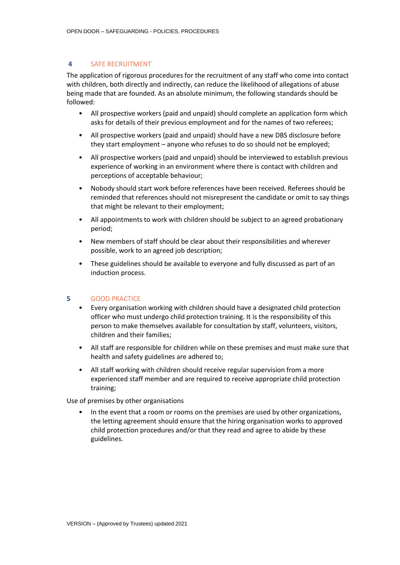# <span id="page-8-0"></span>**4** SAFE RECRUITMENT

The application of rigorous procedures for the recruitment of any staff who come into contact with children, both directly and indirectly, can reduce the likelihood of allegations of abuse being made that are founded. As an absolute minimum, the following standards should be followed:

- All prospective workers (paid and unpaid) should complete an application form which asks for details of their previous employment and for the names of two referees;
- All prospective workers (paid and unpaid) should have a new DBS disclosure before they start employment – anyone who refuses to do so should not be employed;
- All prospective workers (paid and unpaid) should be interviewed to establish previous experience of working in an environment where there is contact with children and perceptions of acceptable behaviour;
- Nobody should start work before references have been received. Referees should be reminded that references should not misrepresent the candidate or omit to say things that might be relevant to their employment;
- All appointments to work with children should be subject to an agreed probationary period;
- New members of staff should be clear about their responsibilities and wherever possible, work to an agreed job description;
- These guidelines should be available to everyone and fully discussed as part of an induction process.

#### <span id="page-8-1"></span>**5** GOOD PRACTICE

- Every organisation working with children should have a designated child protection officer who must undergo child protection training. It is the responsibility of this person to make themselves available for consultation by staff, volunteers, visitors, children and their families;
- All staff are responsible for children while on these premises and must make sure that health and safety guidelines are adhered to;
- All staff working with children should receive regular supervision from a more experienced staff member and are required to receive appropriate child protection training;

Use of premises by other organisations

• In the event that a room or rooms on the premises are used by other organizations, the letting agreement should ensure that the hiring organisation works to approved child protection procedures and/or that they read and agree to abide by these guidelines.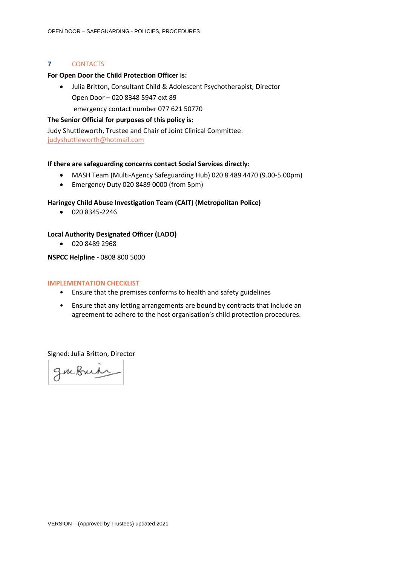### <span id="page-9-0"></span>**7** CONTACTS

#### **For Open Door the Child Protection Officer is:**

• Julia Britton, Consultant Child & Adolescent Psychotherapist, Director Open Door – 020 8348 5947 ext 89

emergency contact number 077 621 50770

# **The Senior Official for purposes of this policy is:**

Judy Shuttleworth, Trustee and Chair of Joint Clinical Committee: [judyshuttleworth@hotmail.com](mailto:judyshuttleworth@hotmail.com)

### **If there are safeguarding concerns contact Social Services directly:**

- MASH Team (Multi-Agency Safeguarding Hub) 020 8 489 4470 (9.00-5.00pm)
- Emergency Duty 020 8489 0000 (from 5pm)

# **Haringey Child Abuse Investigation Team (CAIT) (Metropolitan Police)**

• 020 8345-2246

# **Local Authority Designated Officer (LADO)**

• 020 8489 2968

# **NSPCC Helpline -** 0808 800 5000

#### <span id="page-9-1"></span>**IMPLEMENTATION CHECKLIST**

- Ensure that the premises conforms to health and safety guidelines
- Ensure that any letting arrangements are bound by contracts that include an agreement to adhere to the host organisation's child protection procedures.

Signed: Julia Britton, Director

gmbuin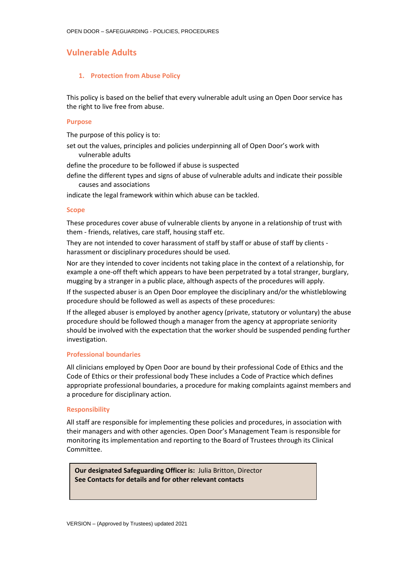# **Vulnerable Adults**

#### <span id="page-10-0"></span>**1. Protection from Abuse Policy**

This policy is based on the belief that every vulnerable adult using an Open Door service has the right to live free from abuse.

#### <span id="page-10-1"></span>**Purpose**

The purpose of this policy is to:

set out the values, principles and policies underpinning all of Open Door's work with vulnerable adults

define the procedure to be followed if abuse is suspected

define the different types and signs of abuse of vulnerable adults and indicate their possible causes and associations

indicate the legal framework within which abuse can be tackled.

#### <span id="page-10-2"></span>**Scope**

These procedures cover abuse of vulnerable clients by anyone in a relationship of trust with them - friends, relatives, care staff, housing staff etc.

They are not intended to cover harassment of staff by staff or abuse of staff by clients harassment or disciplinary procedures should be used.

Nor are they intended to cover incidents not taking place in the context of a relationship, for example a one-off theft which appears to have been perpetrated by a total stranger, burglary, mugging by a stranger in a public place, although aspects of the procedures will apply.

If the suspected abuser is an Open Door employee the disciplinary and/or the whistleblowing procedure should be followed as well as aspects of these procedures:

If the alleged abuser is employed by another agency (private, statutory or voluntary) the abuse procedure should be followed though a manager from the agency at appropriate seniority should be involved with the expectation that the worker should be suspended pending further investigation.

#### <span id="page-10-3"></span>**Professional boundaries**

All clinicians employed by Open Door are bound by their professional Code of Ethics and the Code of Ethics or their professional body These includes a Code of Practice which defines appropriate professional boundaries, a procedure for making complaints against members and a procedure for disciplinary action.

#### <span id="page-10-4"></span>**Responsibility**

All staff are responsible for implementing these policies and procedures, in association with their managers and with other agencies. Open Door's Management Team is responsible for monitoring its implementation and reporting to the Board of Trustees through its Clinical Committee.

**Our designated Safeguarding Officer is:** Julia Britton, Director **See Contacts for details and for other relevant contacts**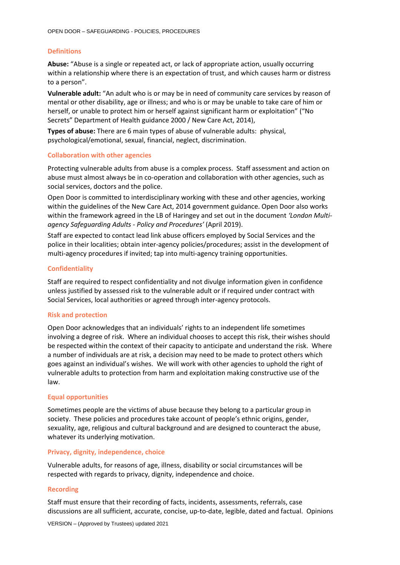### <span id="page-11-0"></span>**Definitions**

**Abuse:** "Abuse is a single or repeated act, or lack of appropriate action, usually occurring within a relationship where there is an expectation of trust, and which causes harm or distress to a person".

**Vulnerable adult:** "An adult who is or may be in need of community care services by reason of mental or other disability, age or illness; and who is or may be unable to take care of him or herself, or unable to protect him or herself against significant harm or exploitation" ("No Secrets" Department of Health guidance 2000 / New Care Act, 2014),

**Types of abuse:** There are 6 main types of abuse of vulnerable adults: physical, psychological/emotional, sexual, financial, neglect, discrimination.

#### <span id="page-11-1"></span>**Collaboration with other agencies**

Protecting vulnerable adults from abuse is a complex process. Staff assessment and action on abuse must almost always be in co-operation and collaboration with other agencies, such as social services, doctors and the police.

Open Door is committed to interdisciplinary working with these and other agencies, working within the guidelines of the New Care Act, 2014 government guidance. Open Door also works within the framework agreed in the LB of Haringey and set out in the document *'London Multiagency Safeguarding Adults - Policy and Procedures'* (April 2019).

Staff are expected to contact lead link abuse officers employed by Social Services and the police in their localities; obtain inter-agency policies/procedures; assist in the development of multi-agency procedures if invited; tap into multi-agency training opportunities.

#### <span id="page-11-2"></span>**Confidentiality**

Staff are required to respect confidentiality and not divulge information given in confidence unless justified by assessed risk to the vulnerable adult or if required under contract with Social Services, local authorities or agreed through inter-agency protocols.

#### <span id="page-11-3"></span>**Risk and protection**

Open Door acknowledges that an individuals' rights to an independent life sometimes involving a degree of risk. Where an individual chooses to accept this risk, their wishes should be respected within the context of their capacity to anticipate and understand the risk. Where a number of individuals are at risk, a decision may need to be made to protect others which goes against an individual's wishes. We will work with other agencies to uphold the right of vulnerable adults to protection from harm and exploitation making constructive use of the law.

#### <span id="page-11-4"></span>**Equal opportunities**

Sometimes people are the victims of abuse because they belong to a particular group in society. These policies and procedures take account of people's ethnic origins, gender, sexuality, age, religious and cultural background and are designed to counteract the abuse, whatever its underlying motivation.

#### <span id="page-11-5"></span>**Privacy, dignity, independence, choice**

Vulnerable adults, for reasons of age, illness, disability or social circumstances will be respected with regards to privacy, dignity, independence and choice.

#### <span id="page-11-6"></span>**Recording**

Staff must ensure that their recording of facts, incidents, assessments, referrals, case discussions are all sufficient, accurate, concise, up-to-date, legible, dated and factual. Opinions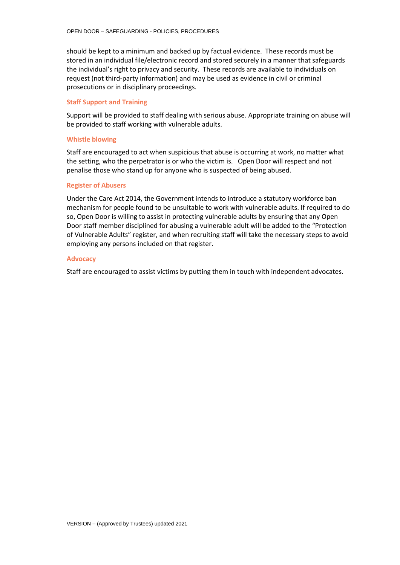should be kept to a minimum and backed up by factual evidence. These records must be stored in an individual file/electronic record and stored securely in a manner that safeguards the individual's right to privacy and security. These records are available to individuals on request (not third-party information) and may be used as evidence in civil or criminal prosecutions or in disciplinary proceedings.

#### <span id="page-12-0"></span>**Staff Support and Training**

Support will be provided to staff dealing with serious abuse. Appropriate training on abuse will be provided to staff working with vulnerable adults.

#### <span id="page-12-1"></span>**Whistle blowing**

Staff are encouraged to act when suspicious that abuse is occurring at work, no matter what the setting, who the perpetrator is or who the victim is. Open Door will respect and not penalise those who stand up for anyone who is suspected of being abused.

#### <span id="page-12-2"></span>**Register of Abusers**

Under the Care Act 2014, the Government intends to introduce a statutory workforce ban mechanism for people found to be unsuitable to work with vulnerable adults. If required to do so, Open Door is willing to assist in protecting vulnerable adults by ensuring that any Open Door staff member disciplined for abusing a vulnerable adult will be added to the "Protection of Vulnerable Adults" register, and when recruiting staff will take the necessary steps to avoid employing any persons included on that register.

#### <span id="page-12-3"></span>**Advocacy**

Staff are encouraged to assist victims by putting them in touch with independent advocates.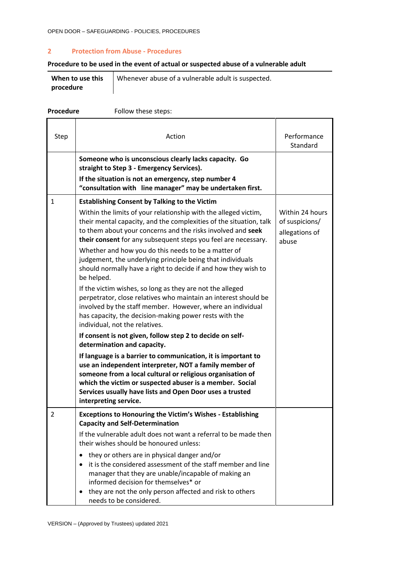### <span id="page-13-0"></span>**2 Protection from Abuse - Procedures**

# **Procedure to be used in the event of actual or suspected abuse of a vulnerable adult**

|           | When to use this $\parallel$ Whenever abuse of a vulnerable adult is suspected. |
|-----------|---------------------------------------------------------------------------------|
| procedure |                                                                                 |

| Procedure | Follow these steps:                                                                                                                                                                                                                                                                                                                                                                                                                                                                                                                 |                                                              |
|-----------|-------------------------------------------------------------------------------------------------------------------------------------------------------------------------------------------------------------------------------------------------------------------------------------------------------------------------------------------------------------------------------------------------------------------------------------------------------------------------------------------------------------------------------------|--------------------------------------------------------------|
| Step      | Action                                                                                                                                                                                                                                                                                                                                                                                                                                                                                                                              | Performance<br>Standard                                      |
|           | Someone who is unconscious clearly lacks capacity. Go<br>straight to Step 3 - Emergency Services).<br>If the situation is not an emergency, step number 4                                                                                                                                                                                                                                                                                                                                                                           |                                                              |
|           | "consultation with line manager" may be undertaken first.                                                                                                                                                                                                                                                                                                                                                                                                                                                                           |                                                              |
| 1         | <b>Establishing Consent by Talking to the Victim</b><br>Within the limits of your relationship with the alleged victim,<br>their mental capacity, and the complexities of the situation, talk<br>to them about your concerns and the risks involved and seek<br>their consent for any subsequent steps you feel are necessary.<br>Whether and how you do this needs to be a matter of<br>judgement, the underlying principle being that individuals<br>should normally have a right to decide if and how they wish to<br>be helped. | Within 24 hours<br>of suspicions/<br>allegations of<br>abuse |
|           | If the victim wishes, so long as they are not the alleged<br>perpetrator, close relatives who maintain an interest should be<br>involved by the staff member. However, where an individual<br>has capacity, the decision-making power rests with the<br>individual, not the relatives.                                                                                                                                                                                                                                              |                                                              |
|           | If consent is not given, follow step 2 to decide on self-                                                                                                                                                                                                                                                                                                                                                                                                                                                                           |                                                              |
|           | determination and capacity.<br>If language is a barrier to communication, it is important to<br>use an independent interpreter, NOT a family member of<br>someone from a local cultural or religious organisation of<br>which the victim or suspected abuser is a member. Social<br>Services usually have lists and Open Door uses a trusted<br>interpreting service.                                                                                                                                                               |                                                              |
| 2         | <b>Exceptions to Honouring the Victim's Wishes - Establishing</b><br><b>Capacity and Self-Determination</b><br>If the vulnerable adult does not want a referral to be made then<br>their wishes should be honoured unless:                                                                                                                                                                                                                                                                                                          |                                                              |
|           | they or others are in physical danger and/or<br>it is the considered assessment of the staff member and line<br>$\bullet$<br>manager that they are unable/incapable of making an<br>informed decision for themselves* or<br>they are not the only person affected and risk to others<br>$\bullet$<br>needs to be considered.                                                                                                                                                                                                        |                                                              |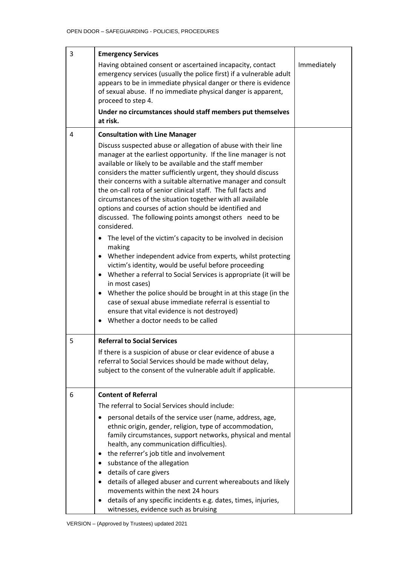| 3 | <b>Emergency Services</b>                                                                                                                                                                                                                                                                                                                                                                                                                                                                                                                                                                                                                                                                                                                                                                                                                                                                                                                                                                                                                                                                                                                   |  |  |  |  |  |
|---|---------------------------------------------------------------------------------------------------------------------------------------------------------------------------------------------------------------------------------------------------------------------------------------------------------------------------------------------------------------------------------------------------------------------------------------------------------------------------------------------------------------------------------------------------------------------------------------------------------------------------------------------------------------------------------------------------------------------------------------------------------------------------------------------------------------------------------------------------------------------------------------------------------------------------------------------------------------------------------------------------------------------------------------------------------------------------------------------------------------------------------------------|--|--|--|--|--|
|   | Having obtained consent or ascertained incapacity, contact<br>emergency services (usually the police first) if a vulnerable adult<br>appears to be in immediate physical danger or there is evidence<br>of sexual abuse. If no immediate physical danger is apparent,<br>proceed to step 4.                                                                                                                                                                                                                                                                                                                                                                                                                                                                                                                                                                                                                                                                                                                                                                                                                                                 |  |  |  |  |  |
|   | Under no circumstances should staff members put themselves<br>at risk.                                                                                                                                                                                                                                                                                                                                                                                                                                                                                                                                                                                                                                                                                                                                                                                                                                                                                                                                                                                                                                                                      |  |  |  |  |  |
| 4 | <b>Consultation with Line Manager</b>                                                                                                                                                                                                                                                                                                                                                                                                                                                                                                                                                                                                                                                                                                                                                                                                                                                                                                                                                                                                                                                                                                       |  |  |  |  |  |
|   | Discuss suspected abuse or allegation of abuse with their line<br>manager at the earliest opportunity. If the line manager is not<br>available or likely to be available and the staff member<br>considers the matter sufficiently urgent, they should discuss<br>their concerns with a suitable alternative manager and consult<br>the on-call rota of senior clinical staff. The full facts and<br>circumstances of the situation together with all available<br>options and courses of action should be identified and<br>discussed. The following points amongst others need to be<br>considered.<br>The level of the victim's capacity to be involved in decision<br>making<br>Whether independent advice from experts, whilst protecting<br>$\bullet$<br>victim's identity, would be useful before proceeding<br>Whether a referral to Social Services is appropriate (it will be<br>$\bullet$<br>in most cases)<br>• Whether the police should be brought in at this stage (in the<br>case of sexual abuse immediate referral is essential to<br>ensure that vital evidence is not destroyed)<br>Whether a doctor needs to be called |  |  |  |  |  |
| 5 | <b>Referral to Social Services</b>                                                                                                                                                                                                                                                                                                                                                                                                                                                                                                                                                                                                                                                                                                                                                                                                                                                                                                                                                                                                                                                                                                          |  |  |  |  |  |
|   | If there is a suspicion of abuse or clear evidence of abuse a<br>referral to Social Services should be made without delay,<br>subject to the consent of the vulnerable adult if applicable.                                                                                                                                                                                                                                                                                                                                                                                                                                                                                                                                                                                                                                                                                                                                                                                                                                                                                                                                                 |  |  |  |  |  |
| 6 | <b>Content of Referral</b>                                                                                                                                                                                                                                                                                                                                                                                                                                                                                                                                                                                                                                                                                                                                                                                                                                                                                                                                                                                                                                                                                                                  |  |  |  |  |  |
|   | The referral to Social Services should include:                                                                                                                                                                                                                                                                                                                                                                                                                                                                                                                                                                                                                                                                                                                                                                                                                                                                                                                                                                                                                                                                                             |  |  |  |  |  |
|   | personal details of the service user (name, address, age,<br>ethnic origin, gender, religion, type of accommodation,<br>family circumstances, support networks, physical and mental<br>health, any communication difficulties).<br>the referrer's job title and involvement<br>٠<br>substance of the allegation<br>details of care givers<br>٠<br>details of alleged abuser and current whereabouts and likely<br>٠<br>movements within the next 24 hours                                                                                                                                                                                                                                                                                                                                                                                                                                                                                                                                                                                                                                                                                   |  |  |  |  |  |
|   | details of any specific incidents e.g. dates, times, injuries,<br>witnesses, evidence such as bruising                                                                                                                                                                                                                                                                                                                                                                                                                                                                                                                                                                                                                                                                                                                                                                                                                                                                                                                                                                                                                                      |  |  |  |  |  |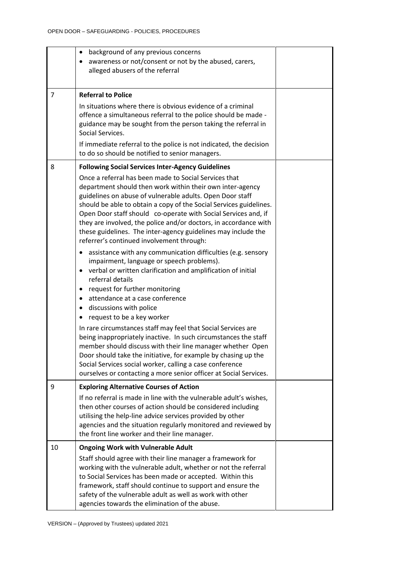|                | background of any previous concerns<br>$\bullet$<br>awareness or not/consent or not by the abused, carers,<br>alleged abusers of the referral                                                                                                                                                                                                                                                                                                                                                             |  |
|----------------|-----------------------------------------------------------------------------------------------------------------------------------------------------------------------------------------------------------------------------------------------------------------------------------------------------------------------------------------------------------------------------------------------------------------------------------------------------------------------------------------------------------|--|
| $\overline{7}$ | <b>Referral to Police</b>                                                                                                                                                                                                                                                                                                                                                                                                                                                                                 |  |
|                | In situations where there is obvious evidence of a criminal<br>offence a simultaneous referral to the police should be made -<br>guidance may be sought from the person taking the referral in<br>Social Services.                                                                                                                                                                                                                                                                                        |  |
|                | If immediate referral to the police is not indicated, the decision<br>to do so should be notified to senior managers.                                                                                                                                                                                                                                                                                                                                                                                     |  |
| 8              | <b>Following Social Services Inter-Agency Guidelines</b>                                                                                                                                                                                                                                                                                                                                                                                                                                                  |  |
|                | Once a referral has been made to Social Services that<br>department should then work within their own inter-agency<br>guidelines on abuse of vulnerable adults. Open Door staff<br>should be able to obtain a copy of the Social Services guidelines.<br>Open Door staff should co-operate with Social Services and, if<br>they are involved, the police and/or doctors, in accordance with<br>these guidelines. The inter-agency guidelines may include the<br>referrer's continued involvement through: |  |
|                | assistance with any communication difficulties (e.g. sensory<br>impairment, language or speech problems).<br>• verbal or written clarification and amplification of initial<br>referral details<br>request for further monitoring<br>٠<br>attendance at a case conference<br>٠<br>discussions with police<br>٠<br>request to be a key worker                                                                                                                                                              |  |
|                | In rare circumstances staff may feel that Social Services are<br>being inappropriately inactive. In such circumstances the staff<br>member should discuss with their line manager whether Open<br>Door should take the initiative, for example by chasing up the<br>Social Services social worker, calling a case conference<br>ourselves or contacting a more senior officer at Social Services.                                                                                                         |  |
| 9              | <b>Exploring Alternative Courses of Action</b>                                                                                                                                                                                                                                                                                                                                                                                                                                                            |  |
|                | If no referral is made in line with the vulnerable adult's wishes,<br>then other courses of action should be considered including<br>utilising the help-line advice services provided by other<br>agencies and the situation regularly monitored and reviewed by<br>the front line worker and their line manager.                                                                                                                                                                                         |  |
| 10             | <b>Ongoing Work with Vulnerable Adult</b>                                                                                                                                                                                                                                                                                                                                                                                                                                                                 |  |
|                | Staff should agree with their line manager a framework for<br>working with the vulnerable adult, whether or not the referral<br>to Social Services has been made or accepted. Within this<br>framework, staff should continue to support and ensure the<br>safety of the vulnerable adult as well as work with other<br>agencies towards the elimination of the abuse.                                                                                                                                    |  |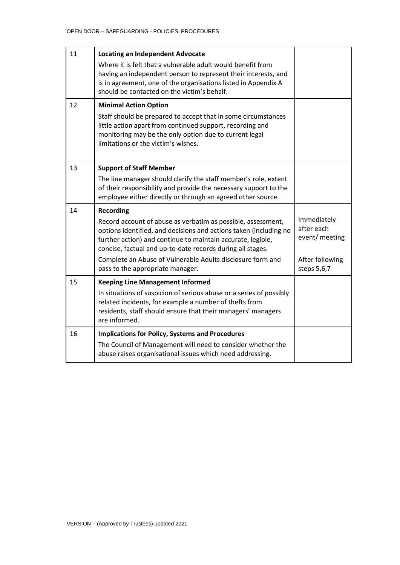| 11 | <b>Locating an Independent Advocate</b><br>Where it is felt that a vulnerable adult would benefit from<br>having an independent person to represent their interests, and<br>is in agreement, one of the organisations listed in Appendix A<br>should be contacted on the victim's behalf. |                                   |
|----|-------------------------------------------------------------------------------------------------------------------------------------------------------------------------------------------------------------------------------------------------------------------------------------------|-----------------------------------|
| 12 | <b>Minimal Action Option</b><br>Staff should be prepared to accept that in some circumstances<br>little action apart from continued support, recording and<br>monitoring may be the only option due to current legal<br>limitations or the victim's wishes.                               |                                   |
| 13 | <b>Support of Staff Member</b><br>The line manager should clarify the staff member's role, extent                                                                                                                                                                                         |                                   |
|    | of their responsibility and provide the necessary support to the<br>employee either directly or through an agreed other source.                                                                                                                                                           |                                   |
| 14 | <b>Recording</b><br>Record account of abuse as verbatim as possible, assessment,<br>options identified, and decisions and actions taken (including no                                                                                                                                     | Immediately<br>after each         |
|    | further action) and continue to maintain accurate, legible,<br>concise, factual and up-to-date records during all stages.<br>Complete an Abuse of Vulnerable Adults disclosure form and                                                                                                   | event/ meeting<br>After following |
|    | pass to the appropriate manager.                                                                                                                                                                                                                                                          | steps 5,6,7                       |
| 15 | <b>Keeping Line Management Informed</b><br>In situations of suspicion of serious abuse or a series of possibly<br>related incidents, for example a number of thefts from<br>residents, staff should ensure that their managers' managers<br>are informed.                                 |                                   |
| 16 | <b>Implications for Policy, Systems and Procedures</b><br>The Council of Management will need to consider whether the                                                                                                                                                                     |                                   |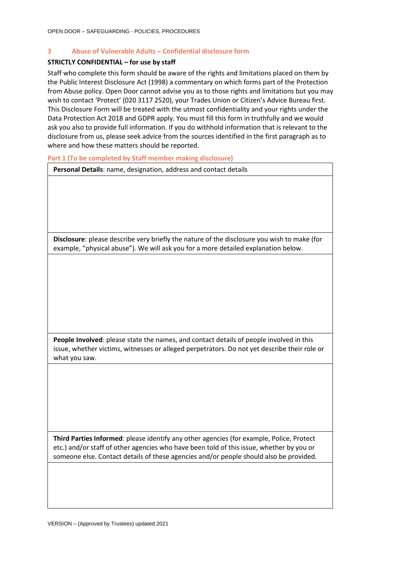# <span id="page-17-0"></span>**3 Abuse of Vulnerable Adults – Confidential disclosure form**

#### **STRICTLY CONFIDENTIAL – for use by staff**

Staff who complete this form should be aware of the rights and limitations placed on them by the Public Interest Disclosure Act (1998) a commentary on which forms part of the Protection from Abuse policy. Open Door cannot advise you as to those rights and limitations but you may wish to contact 'Protect' (020 3117 2520), your Trades Union or Citizen's Advice Bureau first. This Disclosure Form will be treated with the utmost confidentiality and your rights under the Data Protection Act 2018 and GDPR apply. You must fill this form in truthfully and we would ask you also to provide full information. If you do withhold information that is relevant to the disclosure from us, please seek advice from the sources identified in the first paragraph as to where and how these matters should be reported.

<span id="page-17-1"></span>**Part 1 (To be completed by Staff member making disclosure)**

| Disclosure: please describe very briefly the nature of the disclosure you wish to make (for<br>example, "physical abuse"). We will ask you for a more detailed explanation below.<br>People Involved: please state the names, and contact details of people involved in this<br>issue, whether victims, witnesses or alleged perpetrators. Do not yet describe their role or<br>what you saw. | Personal Details: name, designation, address and contact details |
|-----------------------------------------------------------------------------------------------------------------------------------------------------------------------------------------------------------------------------------------------------------------------------------------------------------------------------------------------------------------------------------------------|------------------------------------------------------------------|
|                                                                                                                                                                                                                                                                                                                                                                                               |                                                                  |
|                                                                                                                                                                                                                                                                                                                                                                                               |                                                                  |
|                                                                                                                                                                                                                                                                                                                                                                                               |                                                                  |
|                                                                                                                                                                                                                                                                                                                                                                                               |                                                                  |
|                                                                                                                                                                                                                                                                                                                                                                                               |                                                                  |
|                                                                                                                                                                                                                                                                                                                                                                                               |                                                                  |
|                                                                                                                                                                                                                                                                                                                                                                                               |                                                                  |
|                                                                                                                                                                                                                                                                                                                                                                                               |                                                                  |
|                                                                                                                                                                                                                                                                                                                                                                                               |                                                                  |
|                                                                                                                                                                                                                                                                                                                                                                                               |                                                                  |
|                                                                                                                                                                                                                                                                                                                                                                                               |                                                                  |
|                                                                                                                                                                                                                                                                                                                                                                                               |                                                                  |
|                                                                                                                                                                                                                                                                                                                                                                                               |                                                                  |
|                                                                                                                                                                                                                                                                                                                                                                                               |                                                                  |
|                                                                                                                                                                                                                                                                                                                                                                                               |                                                                  |
|                                                                                                                                                                                                                                                                                                                                                                                               |                                                                  |
|                                                                                                                                                                                                                                                                                                                                                                                               |                                                                  |
|                                                                                                                                                                                                                                                                                                                                                                                               |                                                                  |
|                                                                                                                                                                                                                                                                                                                                                                                               |                                                                  |
|                                                                                                                                                                                                                                                                                                                                                                                               |                                                                  |
|                                                                                                                                                                                                                                                                                                                                                                                               |                                                                  |

**Third Parties Informed**: please identify any other agencies (for example, Police, Protect etc.) and/or staff of other agencies who have been told of this issue, whether by you or someone else. Contact details of these agencies and/or people should also be provided.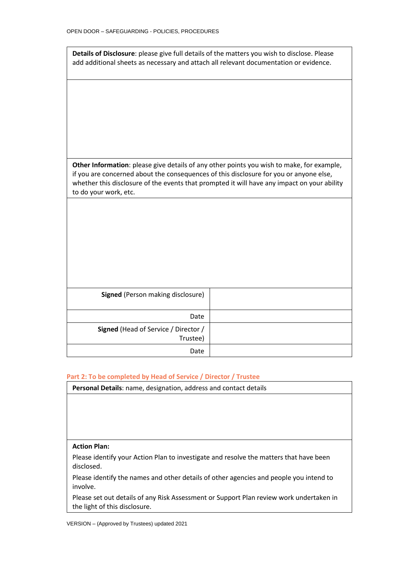| Details of Disclosure: please give full details of the matters you wish to disclose. Please<br>add additional sheets as necessary and attach all relevant documentation or evidence.                                                                                                                        |  |  |  |  |  |  |
|-------------------------------------------------------------------------------------------------------------------------------------------------------------------------------------------------------------------------------------------------------------------------------------------------------------|--|--|--|--|--|--|
|                                                                                                                                                                                                                                                                                                             |  |  |  |  |  |  |
|                                                                                                                                                                                                                                                                                                             |  |  |  |  |  |  |
|                                                                                                                                                                                                                                                                                                             |  |  |  |  |  |  |
| Other Information: please give details of any other points you wish to make, for example,<br>if you are concerned about the consequences of this disclosure for you or anyone else,<br>whether this disclosure of the events that prompted it will have any impact on your ability<br>to do your work, etc. |  |  |  |  |  |  |
|                                                                                                                                                                                                                                                                                                             |  |  |  |  |  |  |
|                                                                                                                                                                                                                                                                                                             |  |  |  |  |  |  |
|                                                                                                                                                                                                                                                                                                             |  |  |  |  |  |  |
| <b>Signed</b> (Person making disclosure)                                                                                                                                                                                                                                                                    |  |  |  |  |  |  |
| Date                                                                                                                                                                                                                                                                                                        |  |  |  |  |  |  |
| Signed (Head of Service / Director /<br>Trustee)                                                                                                                                                                                                                                                            |  |  |  |  |  |  |
| Date                                                                                                                                                                                                                                                                                                        |  |  |  |  |  |  |

#### <span id="page-18-0"></span>**Part 2: To be completed by Head of Service / Director / Trustee**

**Personal Details**: name, designation, address and contact details

# **Action Plan:**

Please identify your Action Plan to investigate and resolve the matters that have been disclosed.

Please identify the names and other details of other agencies and people you intend to involve.

Please set out details of any Risk Assessment or Support Plan review work undertaken in the light of this disclosure.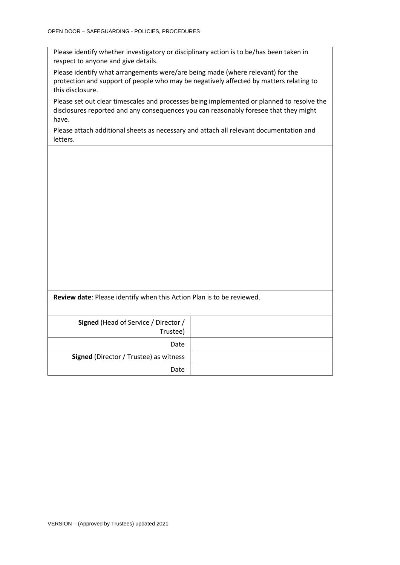| Please identify whether investigatory or disciplinary action is to be/has been taken in |
|-----------------------------------------------------------------------------------------|
| respect to anyone and give details.                                                     |

Please identify what arrangements were/are being made (where relevant) for the protection and support of people who may be negatively affected by matters relating to this disclosure.

Please set out clear timescales and processes being implemented or planned to resolve the disclosures reported and any consequences you can reasonably foresee that they might have.

Please attach additional sheets as necessary and attach all relevant documentation and letters.

| <b>Review date:</b> Please identify when this Action Plan is to be reviewed. |  |
|------------------------------------------------------------------------------|--|
|                                                                              |  |
| Signed (Head of Service / Director /<br>Trustee)                             |  |
| Date                                                                         |  |
| <b>Signed</b> (Director / Trustee) as witness                                |  |
| Date                                                                         |  |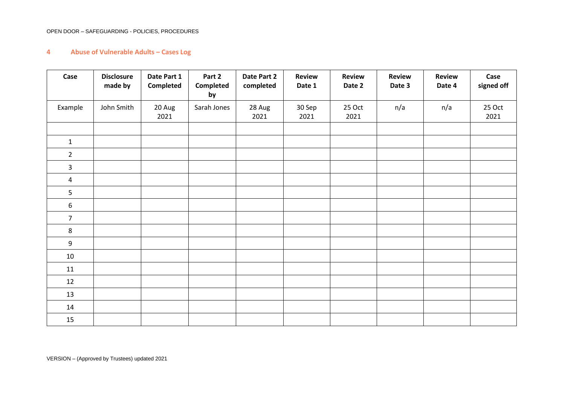#### OPEN DOOR – SAFEGUARDING - POLICIES, PROCEDURES

# **4 Abuse of Vulnerable Adults – Cases Log**

<span id="page-20-0"></span>

| Case             | <b>Disclosure</b><br>made by | Date Part 1<br><b>Completed</b> | Part 2<br>Completed<br>by | Date Part 2<br>completed | <b>Review</b><br>Date 1 | <b>Review</b><br>Date 2 | <b>Review</b><br>Date 3 | Review<br>Date 4 | Case<br>signed off |
|------------------|------------------------------|---------------------------------|---------------------------|--------------------------|-------------------------|-------------------------|-------------------------|------------------|--------------------|
| Example          | John Smith                   | 20 Aug<br>2021                  | Sarah Jones               | 28 Aug<br>2021           | 30 Sep<br>2021          | 25 Oct<br>2021          | n/a                     | n/a              | 25 Oct<br>2021     |
|                  |                              |                                 |                           |                          |                         |                         |                         |                  |                    |
| $\mathbf{1}$     |                              |                                 |                           |                          |                         |                         |                         |                  |                    |
| $\overline{2}$   |                              |                                 |                           |                          |                         |                         |                         |                  |                    |
| 3                |                              |                                 |                           |                          |                         |                         |                         |                  |                    |
| $\overline{4}$   |                              |                                 |                           |                          |                         |                         |                         |                  |                    |
| 5                |                              |                                 |                           |                          |                         |                         |                         |                  |                    |
| $\boldsymbol{6}$ |                              |                                 |                           |                          |                         |                         |                         |                  |                    |
| $\overline{7}$   |                              |                                 |                           |                          |                         |                         |                         |                  |                    |
| 8                |                              |                                 |                           |                          |                         |                         |                         |                  |                    |
| $\boldsymbol{9}$ |                              |                                 |                           |                          |                         |                         |                         |                  |                    |
| 10               |                              |                                 |                           |                          |                         |                         |                         |                  |                    |
| 11               |                              |                                 |                           |                          |                         |                         |                         |                  |                    |
| 12               |                              |                                 |                           |                          |                         |                         |                         |                  |                    |
| 13               |                              |                                 |                           |                          |                         |                         |                         |                  |                    |
| 14               |                              |                                 |                           |                          |                         |                         |                         |                  |                    |
| 15               |                              |                                 |                           |                          |                         |                         |                         |                  |                    |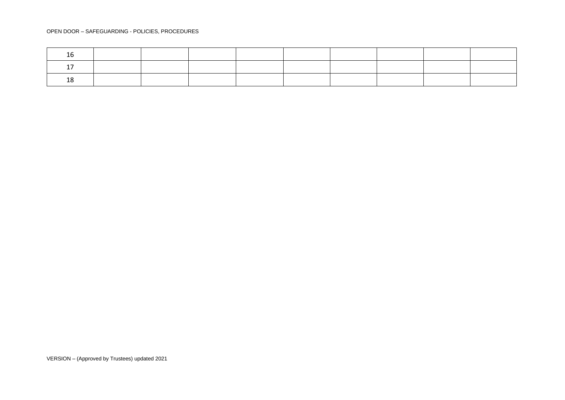#### OPEN DOOR – SAFEGUARDING - POLICIES, PROCEDURES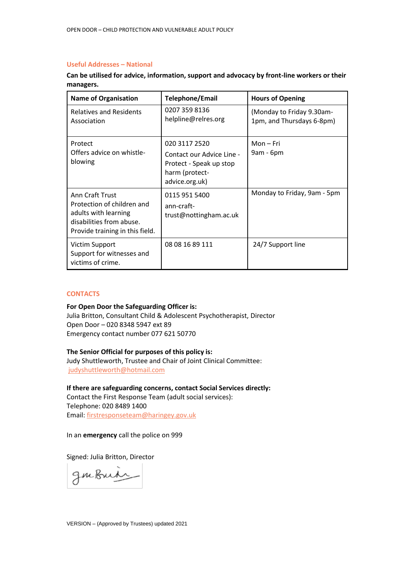# <span id="page-22-0"></span>**Useful Addresses – National**

**Can be utilised for advice, information, support and advocacy by front-line workers or their managers.**

| <b>Name of Organisation</b>                                                                                                          | Telephone/Email                                                                                           | <b>Hours of Opening</b>                                |
|--------------------------------------------------------------------------------------------------------------------------------------|-----------------------------------------------------------------------------------------------------------|--------------------------------------------------------|
| <b>Relatives and Residents</b><br>Association                                                                                        | 0207 359 8136<br>helpline@relres.org                                                                      | (Monday to Friday 9.30am-<br>1pm, and Thursdays 6-8pm) |
| Protect<br>Offers advice on whistle-<br>blowing                                                                                      | 020 3117 2520<br>Contact our Advice Line -<br>Protect - Speak up stop<br>harm (protect-<br>advice.org.uk) | $Mon-Fri$<br>9am - 6pm                                 |
| Ann Craft Trust<br>Protection of children and<br>adults with learning<br>disabilities from abuse.<br>Provide training in this field. | 0115 951 5400<br>ann-craft-<br>trust@nottingham.ac.uk                                                     | Monday to Friday, 9am - 5pm                            |
| Victim Support<br>Support for witnesses and<br>victims of crime.                                                                     | 08 08 16 89 111                                                                                           | 24/7 Support line                                      |

#### <span id="page-22-1"></span>**CONTACTS**

#### **For Open Door the Safeguarding Officer is:**

Julia Britton, Consultant Child & Adolescent Psychotherapist, Director Open Door – 020 8348 5947 ext 89 Emergency contact number 077 621 50770

#### **The Senior Official for purposes of this policy is:**

Judy Shuttleworth, Trustee and Chair of Joint Clinical Committee: [judyshuttleworth@hotmail.com](mailto:judyshuttleworth@hotmail.com)

**If there are safeguarding concerns, contact Social Services directly:** Contact the First Response Team (adult social services): Telephone: 020 8489 1400 Email: [firstresponseteam@haringey.gov.uk](mailto:firstresponseteam@haringey.gov.uk)

In an **emergency** call the police on 999

Signed: Julia Britton, Director

gmbuir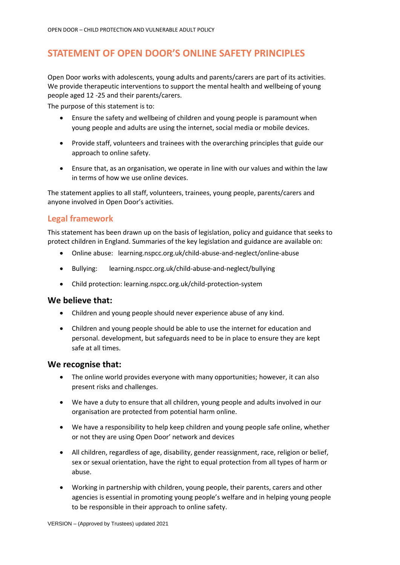# <span id="page-23-0"></span>**STATEMENT OF OPEN DOOR'S ONLINE SAFETY PRINCIPLES**

Open Door works with adolescents, young adults and parents/carers are part of its activities. We provide therapeutic interventions to support the mental health and wellbeing of young people aged 12 -25 and their parents/carers.

The purpose of this statement is to:

- Ensure the safety and wellbeing of children and young people is paramount when young people and adults are using the internet, social media or mobile devices.
- Provide staff, volunteers and trainees with the overarching principles that guide our approach to online safety.
- Ensure that, as an organisation, we operate in line with our values and within the law in terms of how we use online devices.

The statement applies to all staff, volunteers, trainees, young people, parents/carers and anyone involved in Open Door's activities.

# <span id="page-23-1"></span>**Legal framework**

This statement has been drawn up on the basis of legislation, policy and guidance that seeks to protect children in England. Summaries of the key legislation and guidance are available on:

- Online abuse: learning.nspcc.org.uk/child-abuse-and-neglect/online-abuse
- Bullying: learning.nspcc.org.uk/child-abuse-and-neglect/bullying
- Child protection: learning.nspcc.org.uk/child-protection-system

# **We believe that:**

- Children and young people should never experience abuse of any kind.
- Children and young people should be able to use the internet for education and personal. development, but safeguards need to be in place to ensure they are kept safe at all times.

# **We recognise that:**

- The online world provides everyone with many opportunities; however, it can also present risks and challenges.
- We have a duty to ensure that all children, young people and adults involved in our organisation are protected from potential harm online.
- We have a responsibility to help keep children and young people safe online, whether or not they are using Open Door' network and devices
- All children, regardless of age, disability, gender reassignment, race, religion or belief, sex or sexual orientation, have the right to equal protection from all types of harm or abuse.
- Working in partnership with children, young people, their parents, carers and other agencies is essential in promoting young people's welfare and in helping young people to be responsible in their approach to online safety.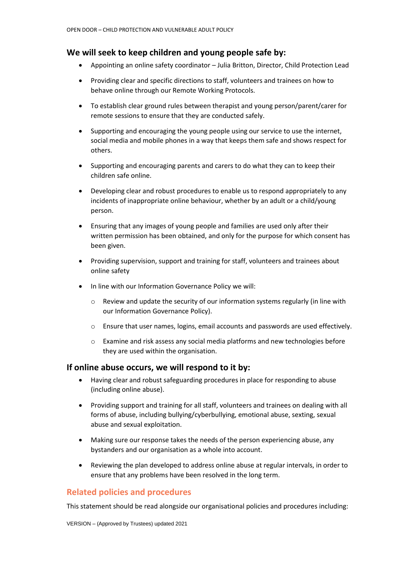# **We will seek to keep children and young people safe by:**

- Appointing an online safety coordinator Julia Britton, Director, Child Protection Lead
- Providing clear and specific directions to staff, volunteers and trainees on how to behave online through our Remote Working Protocols.
- To establish clear ground rules between therapist and young person/parent/carer for remote sessions to ensure that they are conducted safely.
- Supporting and encouraging the young people using our service to use the internet, social media and mobile phones in a way that keeps them safe and shows respect for others.
- Supporting and encouraging parents and carers to do what they can to keep their children safe online.
- Developing clear and robust procedures to enable us to respond appropriately to any incidents of inappropriate online behaviour, whether by an adult or a child/young person.
- Ensuring that any images of young people and families are used only after their written permission has been obtained, and only for the purpose for which consent has been given.
- Providing supervision, support and training for staff, volunteers and trainees about online safety
- In line with our Information Governance Policy we will:
	- $\circ$  Review and update the security of our information systems regularly (in line with our Information Governance Policy).
	- o Ensure that user names, logins, email accounts and passwords are used effectively.
	- o Examine and risk assess any social media platforms and new technologies before they are used within the organisation.

# **If online abuse occurs, we will respond to it by:**

- Having clear and robust safeguarding procedures in place for responding to abuse (including online abuse).
- Providing support and training for all staff, volunteers and trainees on dealing with all forms of abuse, including bullying/cyberbullying, emotional abuse, sexting, sexual abuse and sexual exploitation.
- Making sure our response takes the needs of the person experiencing abuse, any bystanders and our organisation as a whole into account.
- Reviewing the plan developed to address online abuse at regular intervals, in order to ensure that any problems have been resolved in the long term.

# <span id="page-24-0"></span>**Related policies and procedures**

This statement should be read alongside our organisational policies and procedures including: